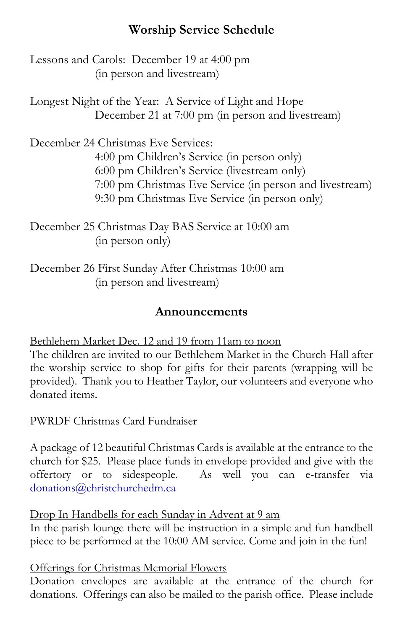# **Worship Service Schedule**

Lessons and Carols: December 19 at 4:00 pm (in person and livestream)

Longest Night of the Year: A Service of Light and Hope December 21 at 7:00 pm (in person and livestream)

December 24 Christmas Eve Services: 4:00 pm Children's Service (in person only) 6:00 pm Children's Service (livestream only) 7:00 pm Christmas Eve Service (in person and livestream) 9:30 pm Christmas Eve Service (in person only)

December 25 Christmas Day BAS Service at 10:00 am (in person only)

December 26 First Sunday After Christmas 10:00 am (in person and livestream)

## **Announcements**

Bethlehem Market Dec. 12 and 19 from 11am to noon

The children are invited to our Bethlehem Market in the Church Hall after the worship service to shop for gifts for their parents (wrapping will be provided). Thank you to Heather Taylor, our volunteers and everyone who donated items.

PWRDF Christmas Card Fundraiser

A package of 12 beautiful Christmas Cards is available at the entrance to the church for \$25. Please place funds in envelope provided and give with the offertory or to sidespeople. As well you can e-transfer via [donations@christchurchedm.ca](mailto:donations@christchurchedm.ca)

Drop In Handbells for each Sunday in Advent at 9 am

In the parish lounge there will be instruction in a simple and fun handbell piece to be performed at the 10:00 AM service. Come and join in the fun!

Offerings for Christmas Memorial Flowers

Donation envelopes are available at the entrance of the church for donations. Offerings can also be mailed to the parish office. Please include